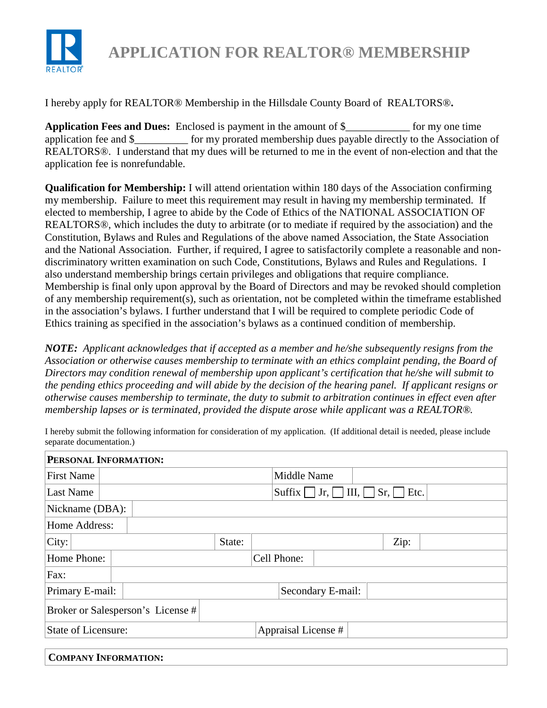

**APPLICATION FOR REALTOR® MEMBERSHIP**

I hereby apply for REALTOR® Membership in the Hillsdale County Board of REALTORS®**.**

**Application Fees and Dues:** Enclosed is payment in the amount of \$\_\_\_\_\_\_\_\_\_\_\_\_ for my one time application fee and \$\_\_\_\_\_\_\_\_\_\_ for my prorated membership dues payable directly to the Association of REALTORS®. I understand that my dues will be returned to me in the event of non-election and that the application fee is nonrefundable.

**Qualification for Membership:** I will attend orientation within 180 days of the Association confirming my membership. Failure to meet this requirement may result in having my membership terminated. If elected to membership, I agree to abide by the Code of Ethics of the NATIONAL ASSOCIATION OF REALTORS®, which includes the duty to arbitrate (or to mediate if required by the association) and the Constitution, Bylaws and Rules and Regulations of the above named Association, the State Association and the National Association. Further, if required, I agree to satisfactorily complete a reasonable and nondiscriminatory written examination on such Code, Constitutions, Bylaws and Rules and Regulations. I also understand membership brings certain privileges and obligations that require compliance. Membership is final only upon approval by the Board of Directors and may be revoked should completion of any membership requirement(s), such as orientation, not be completed within the timeframe established in the association's bylaws. I further understand that I will be required to complete periodic Code of Ethics training as specified in the association's bylaws as a continued condition of membership.

*NOTE: Applicant acknowledges that if accepted as a member and he/she subsequently resigns from the Association or otherwise causes membership to terminate with an ethics complaint pending, the Board of Directors may condition renewal of membership upon applicant's certification that he/she will submit to the pending ethics proceeding and will abide by the decision of the hearing panel. If applicant resigns or otherwise causes membership to terminate, the duty to submit to arbitration continues in effect even after membership lapses or is terminated, provided the dispute arose while applicant was a REALTOR®.*

I hereby submit the following information for consideration of my application. (If additional detail is needed, please include separate documentation.)

| PERSONAL INFORMATION:             |        |                |                     |                     |  |
|-----------------------------------|--------|----------------|---------------------|---------------------|--|
| <b>First Name</b>                 |        |                | Middle Name         |                     |  |
| Last Name                         |        | Suffix $\vert$ | $Jr,$ III,          | $Sr, \vert$<br>Etc. |  |
| Nickname (DBA):                   |        |                |                     |                     |  |
| Home Address:                     |        |                |                     |                     |  |
| $\overline{C}$ ity:               | State: |                |                     | Zip:                |  |
| Home Phone:                       |        | Cell Phone:    |                     |                     |  |
| Fax:                              |        |                |                     |                     |  |
| Primary E-mail:                   |        |                | Secondary E-mail:   |                     |  |
| Broker or Salesperson's License # |        |                |                     |                     |  |
| State of Licensure:               |        |                | Appraisal License # |                     |  |
| <b>COMPANY INFORMATION:</b>       |        |                |                     |                     |  |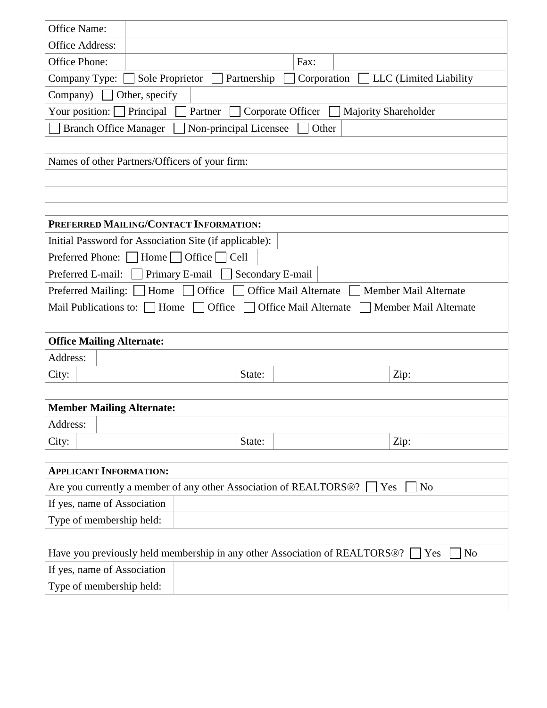| Office Name:                         |                                                                                             |
|--------------------------------------|---------------------------------------------------------------------------------------------|
| Office Address:                      |                                                                                             |
| Office Phone:                        | Fax:                                                                                        |
|                                      | $Corporation$ $\Box$ LLC (Limited Liability<br>Company Type: Sole Proprietor<br>Partnership |
| Company)                             | Other, specify                                                                              |
| Your position: $\boxed{\phantom{a}}$ | Principal<br>Corporate Officer<br>Partner<br><b>Majority Shareholder</b>                    |
| <b>Branch Office Manager</b>         | Non-principal Licensee<br>Other                                                             |
|                                      |                                                                                             |
|                                      | Names of other Partners/Officers of your firm:                                              |
|                                      |                                                                                             |
|                                      |                                                                                             |

| PREFERRED MAILING/CONTACT INFORMATION:                                                                             |  |  |  |
|--------------------------------------------------------------------------------------------------------------------|--|--|--|
| Initial Password for Association Site (if applicable):                                                             |  |  |  |
| Preferred Phone: $\Box$ Home $\Box$ Office $\Box$ Cell                                                             |  |  |  |
| $Primary E-mail$<br>Secondary E-mail<br>Preferred E-mail:                                                          |  |  |  |
| Office $\Box$<br><b>Office Mail Alternate</b><br>Home $\vert \vert$<br>Preferred Mailing:<br>Member Mail Alternate |  |  |  |
| Office   Office Mail Alternate<br>Mail Publications to:     Home  <br>Member Mail Alternate                        |  |  |  |
|                                                                                                                    |  |  |  |
| <b>Office Mailing Alternate:</b>                                                                                   |  |  |  |
| Address:                                                                                                           |  |  |  |
| Zip:<br>City:<br>State:                                                                                            |  |  |  |
|                                                                                                                    |  |  |  |
| <b>Member Mailing Alternate:</b>                                                                                   |  |  |  |
| Address:                                                                                                           |  |  |  |
| Zip:<br>State:<br>City:                                                                                            |  |  |  |

| <b>APPLICANT INFORMATION:</b> |                                                                                                          |
|-------------------------------|----------------------------------------------------------------------------------------------------------|
|                               | Are you currently a member of any other Association of REALTORS <sup>®</sup> ?     Yes     No            |
| If yes, name of Association   |                                                                                                          |
| Type of membership held:      |                                                                                                          |
|                               |                                                                                                          |
|                               | Have you previously held membership in any other Association of REALTORS <sup>®?</sup> $\Box$ Yes<br> No |
| If yes, name of Association   |                                                                                                          |
| Type of membership held:      |                                                                                                          |
|                               |                                                                                                          |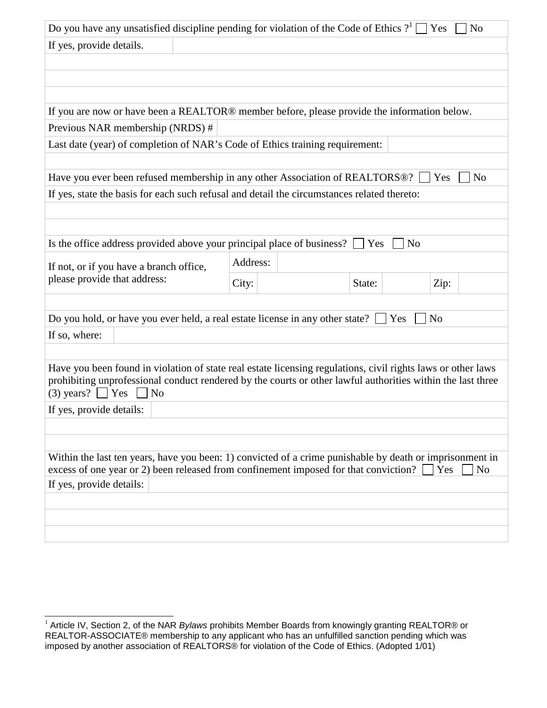| Do you have any unsatisfied discipline pending for violation of the Code of Ethics $?^1$ Yes                                                      |          |                | N <sub>o</sub>        |
|---------------------------------------------------------------------------------------------------------------------------------------------------|----------|----------------|-----------------------|
| If yes, provide details.                                                                                                                          |          |                |                       |
|                                                                                                                                                   |          |                |                       |
|                                                                                                                                                   |          |                |                       |
|                                                                                                                                                   |          |                |                       |
| If you are now or have been a REALTOR® member before, please provide the information below.                                                       |          |                |                       |
| Previous NAR membership (NRDS) #                                                                                                                  |          |                |                       |
| Last date (year) of completion of NAR's Code of Ethics training requirement:                                                                      |          |                |                       |
|                                                                                                                                                   |          |                |                       |
| Have you ever been refused membership in any other Association of REALTORS <sup>®</sup> ?                                                         |          |                | N <sub>o</sub><br>Yes |
| If yes, state the basis for each such refusal and detail the circumstances related thereto:                                                       |          |                |                       |
|                                                                                                                                                   |          |                |                       |
| Is the office address provided above your principal place of business?                                                                            |          | N <sub>o</sub> |                       |
|                                                                                                                                                   |          | Yes            |                       |
| If not, or if you have a branch office,                                                                                                           | Address: |                |                       |
| please provide that address:                                                                                                                      | City:    | State:         | Zip:                  |
|                                                                                                                                                   |          |                |                       |
| Do you hold, or have you ever held, a real estate license in any other state?                                                                     |          | Yes            | N <sub>o</sub>        |
| If so, where:                                                                                                                                     |          |                |                       |
|                                                                                                                                                   |          |                |                       |
| Have you been found in violation of state real estate licensing regulations, civil rights laws or other laws                                      |          |                |                       |
| prohibiting unprofessional conduct rendered by the courts or other lawful authorities within the last three<br>$(3)$ years? Yes<br>N <sub>0</sub> |          |                |                       |
| If yes, provide details:                                                                                                                          |          |                |                       |
|                                                                                                                                                   |          |                |                       |
|                                                                                                                                                   |          |                |                       |
| Within the last ten years, have you been: 1) convicted of a crime punishable by death or imprisonment in                                          |          |                |                       |
| excess of one year or 2) been released from confinement imposed for that conviction?                                                              |          |                | Yes<br>N <sub>o</sub> |
| If yes, provide details:                                                                                                                          |          |                |                       |
|                                                                                                                                                   |          |                |                       |
|                                                                                                                                                   |          |                |                       |
|                                                                                                                                                   |          |                |                       |

l

<sup>&</sup>lt;sup>1</sup> Article IV, Section 2, of the NAR Bylaws prohibits Member Boards from knowingly granting REALTOR® or REALTOR-ASSOCIATE® membership to any applicant who has an unfulfilled sanction pending which was imposed by another association of REALTORS® for violation of the Code of Ethics. (Adopted 1/01)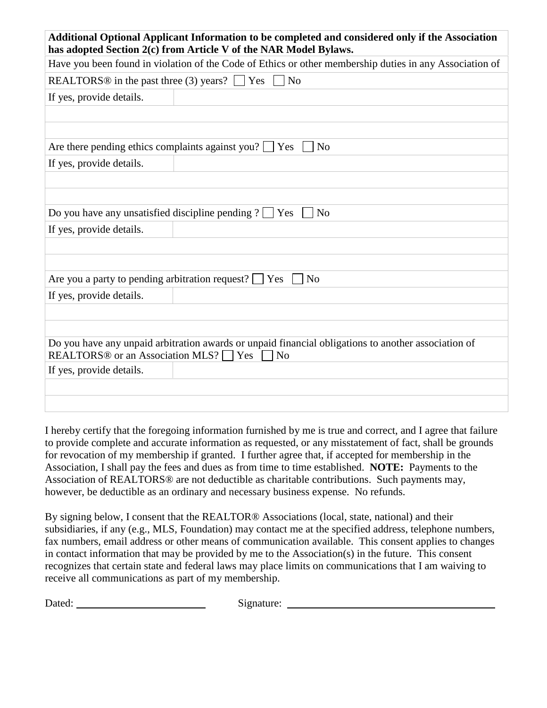| Additional Optional Applicant Information to be completed and considered only if the Association<br>has adopted Section 2(c) from Article V of the NAR Model Bylaws.             |  |  |  |
|----------------------------------------------------------------------------------------------------------------------------------------------------------------------------------|--|--|--|
| Have you been found in violation of the Code of Ethics or other membership duties in any Association of                                                                          |  |  |  |
| REALTORS <sup>®</sup> in the past three (3) years? $\Box$ Yes<br>N <sub>o</sub>                                                                                                  |  |  |  |
| If yes, provide details.                                                                                                                                                         |  |  |  |
|                                                                                                                                                                                  |  |  |  |
|                                                                                                                                                                                  |  |  |  |
| Are there pending ethics complaints against you? $\Box$ Yes<br>N <sub>o</sub>                                                                                                    |  |  |  |
| If yes, provide details.                                                                                                                                                         |  |  |  |
|                                                                                                                                                                                  |  |  |  |
|                                                                                                                                                                                  |  |  |  |
| Do you have any unsatisfied discipline pending $? \Box$ Yes<br>N <sub>o</sub>                                                                                                    |  |  |  |
| If yes, provide details.                                                                                                                                                         |  |  |  |
|                                                                                                                                                                                  |  |  |  |
|                                                                                                                                                                                  |  |  |  |
| Are you a party to pending arbitration request? $\Box$ Yes<br>N <sub>o</sub>                                                                                                     |  |  |  |
| If yes, provide details.                                                                                                                                                         |  |  |  |
|                                                                                                                                                                                  |  |  |  |
|                                                                                                                                                                                  |  |  |  |
| Do you have any unpaid arbitration awards or unpaid financial obligations to another association of<br>REALTORS <sup>®</sup> or an Association MLS? $\Box$ Yes<br>N <sub>o</sub> |  |  |  |
| If yes, provide details.                                                                                                                                                         |  |  |  |
|                                                                                                                                                                                  |  |  |  |
|                                                                                                                                                                                  |  |  |  |

I hereby certify that the foregoing information furnished by me is true and correct, and I agree that failure to provide complete and accurate information as requested, or any misstatement of fact, shall be grounds for revocation of my membership if granted. I further agree that, if accepted for membership in the Association, I shall pay the fees and dues as from time to time established. **NOTE:** Payments to the Association of REALTORS® are not deductible as charitable contributions. Such payments may, however, be deductible as an ordinary and necessary business expense. No refunds.

By signing below, I consent that the REALTOR® Associations (local, state, national) and their subsidiaries, if any (e.g., MLS, Foundation) may contact me at the specified address, telephone numbers, fax numbers, email address or other means of communication available. This consent applies to changes in contact information that may be provided by me to the Association(s) in the future. This consent recognizes that certain state and federal laws may place limits on communications that I am waiving to receive all communications as part of my membership.

Dated: Signature: Signature: Signature: Signature: Signature: Signature: Signature: Signature: Signature: Signature: Signature: Signature: Signature: Signature: Signature: Signature: Signature: Signature: Signature: Signat